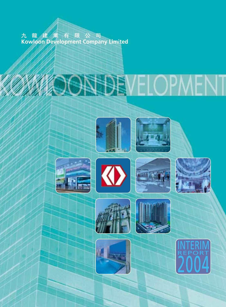九 龍 建 業 有 限 公 司<br>Kowloon Development Company Limited

# **OGSE**

















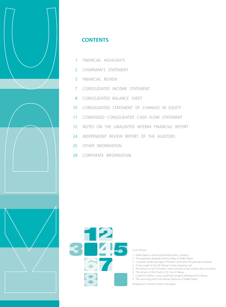

#### **CONTENTS**

- 1 FINANCIAL HIGHLIGHTS
- 2 CHAIRMAN'S STATEMENT
- 5 FINANCIAL REVIEW
- 7 CONSOLIDATED INCOME STATEMENT
- 8 CONSOLIDATED BALANCE SHEET
- 10 CONSOLIDATED STATEMENT OF CHANGES IN EQUITY
- 11 CONDENSED CONSOLIDATED CASH FLOW STATEMENT
- 12 NOTES ON THE UNAUDITED INTERIM FINANCIAL REPORT
- 24 INDEPENDENT REVIEW REPORT OF THE AUDITORS
- 25 OTHER INFORMATION
- 28 CORPORATE INFORMATION



#### Cover Photos:

- 1 Padek Palace in Prince Edward Road West, Kowloon
- 2 The exquisitely designed entrance lobby of Padek Palace
- 3 Computer rendering image of Pioneer Centre after the planned renovation
- 4 A new image for the 3/F, Pioneer Centre shopping mall
- 5 The Atrium on G/F of Pioneer Centre will have a fresh outlook after renovation
- 6 The remains of the Church of St. Paul in Macau
- 7 La Baie Du Noble, a luxury coast-front property development in Macau 8 The swimming pool in the deluxe clubhouse of Padek Palace

Background is Pioneer Centre in Mongkok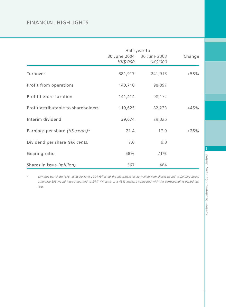#### FINANCIAL HIGHLIGHTS

|                                     |          | Half-year to                          |        |
|-------------------------------------|----------|---------------------------------------|--------|
|                                     | HK\$'000 | 30 June 2004 30 June 2003<br>HK\$'000 | Change |
| Turnover                            | 381,917  | 241,913                               | $+58%$ |
| Profit from operations              | 140,710  | 98,897                                |        |
| Profit before taxation              | 141,414  | 98,172                                |        |
| Profit attributable to shareholders | 119,625  | 82,233                                | $+45%$ |
| Interim dividend                    | 39,674   | 29,026                                |        |
| Earnings per share (HK cents)*      | 21.4     | 17.0                                  | $+26%$ |
| Dividend per share (HK cents)       | 7.0      | 6.0                                   |        |
| Gearing ratio                       | 58%      | 71%                                   |        |
| Shares in issue (million)           | 567      | 484                                   |        |

*\* Earnings per share (EPS) as at 30 June 2004 reflected the placement of 83 million new shares issued in January 2004; otherwise EPS would have amounted to 24.7 HK cents or a 45% increase compared with the corresponding period last year.*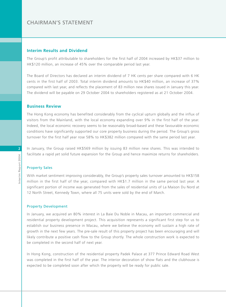#### CHAIRMAN'S STATEMENT

#### **Interim Results and Dividend**

The Group's profit attributable to shareholders for the first half of 2004 increased by HK\$37 million to HK\$120 million, an increase of 45% over the comparable period last year.

The Board of Directors has declared an interim dividend of 7 HK cents per share compared with 6 HK cents in the first half of 2003. Total interim dividend amounts to HK\$40 million, an increase of 37% compared with last year, and reflects the placement of 83 million new shares issued in January this year. The dividend will be payable on 29 October 2004 to shareholders registered as at 21 October 2004.

#### **Business Review**

The Hong Kong economy has benefited considerably from the cyclical upturn globally and the influx of visitors from the Mainland, with the local economy expanding over 9% in the first half of the year. Indeed, the local economic recovery seems to be reasonably broad-based and these favourable economic conditions have significantly supported our core property business during the period. The Group's gross turnover for the first half year rose 58% to HK\$382 million compared with the same period last year.

In January, the Group raised HK\$569 million by issuing 83 million new shares. This was intended to facilitate a rapid yet solid future expansion for the Group and hence maximize returns for shareholders.

#### Property Sales

With market sentiment improving considerably, the Group's property sales turnover amounted to HK\$158 million in the first half of the year, compared with HK\$1.7 million in the same period last year. A significant portion of income was generated from the sales of residential units of La Maison Du Nord at 12 North Street, Kennedy Town, where all 75 units were sold by the end of March.

#### Property Development

In January, we acquired an 80% interest in La Baie Du Noble in Macau, an important commercial and residential property development project. This acquisition represents a significant first step for us to establish our business presence in Macau, where we believe the economy will sustain a high rate of growth in the next few years. The pre-sale result of this property project has been encouraging and will likely contribute a positive cash flow to the Group shortly. The whole construction work is expected to be completed in the second half of next year.

In Hong Kong, construction of the residential property Padek Palace at 377 Prince Edward Road West was completed in the first half of the year. The interior decoration of show flats and the clubhouse is expected to be completed soon after which the property will be ready for public sale.

**2**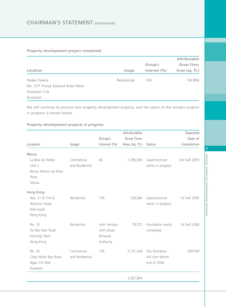#### *Property development project completed*

|                                 |             |                  | Attributable   |
|---------------------------------|-------------|------------------|----------------|
|                                 |             | Group's          | Gross Floor    |
| Location                        | Usage       | Interest $(\% )$ | Area (sq. ft.) |
| Padek Palace                    | Residential | 100              | 54,896         |
| No. 377 Prince Edward Road West |             |                  |                |
| Kowloon City                    |             |                  |                |
| Kowloon                         |             |                  |                |

We will continue to procure new property development projects; and the status of the Group's projects in progress is shown below.

#### *Property development projects in progress*

|                        |                 |                  | Attributable   |                   | Expected      |
|------------------------|-----------------|------------------|----------------|-------------------|---------------|
|                        |                 | Group's          | Gross Floor    |                   | Date of       |
| Location               | Usage           | Interest $(\% )$ | Area (sq. ft.) | <b>Status</b>     | Completion    |
| Macau                  |                 |                  |                |                   |               |
| La Baie Du Noble       | Commercial      | 80               | 1,280,000      | Superstructure    | 2nd half 2005 |
| Lote S                 | and Residential |                  |                | works in progress |               |
| Novos Aterros da Areia |                 |                  |                |                   |               |
| Preta                  |                 |                  |                |                   |               |
| Macau                  |                 |                  |                |                   |               |
| Hong Kong              |                 |                  |                |                   |               |
| Nos. 31 & 31A-G        | Residential     | 100              | 128,084        | Superstructure    | 1st half 2006 |
| Robinson Road          |                 |                  |                | works in progress |               |
| Mid-Levels             |                 |                  |                |                   |               |
| Hong Kong              |                 |                  |                |                   |               |
| No. 33                 | Residential     | Joint Venture    | 78,372         | Foundation works  | 1st half 2006 |
| Ka Wai Man Road        |                 | with Urban       |                | completed         |               |
| Kennedy Town           |                 | Renewal          |                |                   |               |
| Hong Kong              |                 | Authority        |                |                   |               |
| No. 35                 | Commercial      | 100              | 2,101,428      | Site formation    | 2007/08       |
| Clear Water Bay Road   | and Residential |                  |                | will start before |               |
| Ngau Chi Wan           |                 |                  |                | end of 2004       |               |
| Kowloon                |                 |                  |                |                   |               |
|                        |                 |                  | 3,587,884      |                   |               |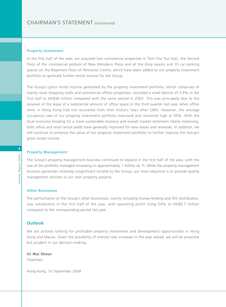#### Property Investment

In the first half of the year, we acquired two commercial properties in Tsim Sha Tsui East, the Second Floor of the commercial podium of New Mandarin Plaza and all the shop spaces and 10 car parking spaces on the Basement Floor of Peninsula Centre, which have been added to our property investment portfolio to generate further rental income for the Group.

The Group's gross rental income generated by the property investment portfolio, which comprises of mainly retail shopping malls and commercial offices properties, recorded a small decline of 3.6% in the first half to HK\$90 million compared with the same period in 2003. This was principally due to the renewal of the lease of a substantial amount of office space in the third quarter last year when office rents in Hong Kong had not recovered from their historic lows after SARS. However, the average occupancy rate of our property investment portfolio improved and remained high at 95%. With the local economy heading for a more sustainable recovery and overall market sentiment clearly improving, both office and retail rental yields have generally improved for new leases and renewals. In addition, we will continue to enhance the value of our property investment portfolio to further improve the Group's gross rental income.

#### Property Management

The Group's property management business continued to expand in the first half of the year, with the size of the portfolio managed increasing to approximately 1 million sq. ft. While the property management business generates relatively insignificant income to the Group, our main objective is to provide quality management services to our own property projects.

#### Other Businesses

The performance of the Group's other businesses, mainly including money-lending and film distribution, was satisfactory in the first half of the year, with operating profit rising 54% to HK\$6.7 million compared to the corresponding period last year.

#### **Outlook**

We are actively looking for profitable property investment and development opportunities in Hong Kong and Macau. Given the possibility of interest rate increases in the year ahead, we will be proactive but prudent in our decision-making.

**Or Wai Sheun** *Chairman*

Hong Kong, 10 September 2004

**4**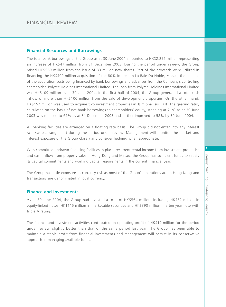#### **Financial Resources and Borrowings**

The total bank borrowings of the Group as at 30 June 2004 amounted to HK\$2,256 million representing an increase of HK\$47 million from 31 December 2003. During the period under review, the Group raised HK\$569 million from the issue of 83 million new shares. Part of the proceeds were utilized in financing the HK\$400 million acquisition of the 80% interest in La Baie Du Noble, Macau, the balance of the acquisition costs being financed by bank borrowings and advances from the Company's controlling shareholder, Polytec Holdings International Limited. The loan from Polytec Holdings International Limited was HK\$109 million as at 30 June 2004. In the first half of 2004, the Group generated a total cash inflow of more than HK\$100 million from the sale of development properties. On the other hand, HK\$152 million was used to acquire two investment properties in Tsim Sha Tsui East. The gearing ratio, calculated on the basis of net bank borrowings to shareholders' equity, standing at 71% as at 30 June 2003 was reduced to 67% as at 31 December 2003 and further improved to 58% by 30 June 2004.

All banking facilities are arranged on a floating rate basis. The Group did not enter into any interest rate swap arrangement during the period under review. Management will monitor the market and interest exposure of the Group closely and consider hedging when appropriate.

With committed undrawn financing facilities in place, recurrent rental income from investment properties and cash inflow from property sales in Hong Kong and Macau, the Group has sufficient funds to satisfy its capital commitments and working capital requirements in the current financial year.

The Group has little exposure to currency risk as most of the Group's operations are in Hong Kong and transactions are denominated in local currency.

#### **Finance and Investments**

As at 30 June 2004, the Group had invested a total of HK\$564 million, including HK\$52 million in equity-linked notes, HK\$115 million in marketable securities and HK\$390 million in a ten year note with triple A rating.

The finance and investment activities contributed an operating profit of HK\$19 million for the period under review, slightly better than that of the same period last year. The Group has been able to maintain a stable profit from financial investments and management will persist in its conservative approach in managing available funds.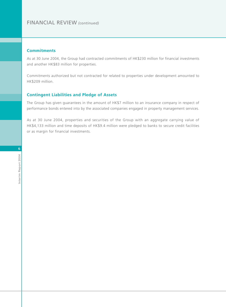#### FINANCIAL REVIEW *(continued)*

#### **Commitments**

As at 30 June 2004, the Group had contracted commitments of HK\$230 million for financial investments and another HK\$83 million for properties.

Commitments authorized but not contracted for related to properties under development amounted to HK\$209 million.

#### **Contingent Liabilities and Pledge of Assets**

The Group has given guarantees in the amount of HK\$7 million to an insurance company in respect of performance bonds entered into by the associated companies engaged in property management services.

As at 30 June 2004, properties and securities of the Group with an aggregate carrying value of HK\$4,133 million and time deposits of HK\$9.4 million were pledged to banks to secure credit facilities or as margin for financial investments.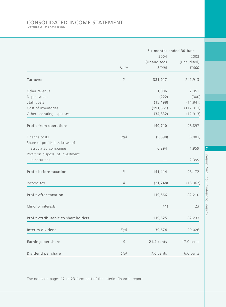## CONSOLIDATED INCOME STATEMENT *(Expressed in Hong Kong dollars)*

|                                     |                            | Six months ended 30 June |             |
|-------------------------------------|----------------------------|--------------------------|-------------|
|                                     |                            | 2004                     | 2003        |
|                                     |                            | (Unaudited)              | (Unaudited) |
|                                     | Note                       | \$'000                   | \$'000      |
| Turnover                            | $\overline{2}$             | 381,917                  | 241,913     |
| Other revenue                       |                            | 1,006                    | 2,951       |
| Depreciation                        |                            | (222)                    | (300)       |
| Staff costs                         |                            | (15, 498)                | (14, 841)   |
| Cost of inventories                 |                            | (191, 661)               | (117, 913)  |
| Other operating expenses            |                            | (34, 832)                | (12, 913)   |
| Profit from operations              |                            | 140,710                  | 98,897      |
| Finance costs                       | 3(a)                       | (5, 590)                 | (5,083)     |
| Share of profits less losses of     |                            |                          |             |
| associated companies                |                            | 6,294                    | 1,959       |
| Profit on disposal of investment    |                            |                          |             |
| in securities                       |                            |                          | 2,399       |
| Profit before taxation              | 3                          | 141,414                  | 98,172      |
| Income tax                          | $\ensuremath{\mathcal{A}}$ | (21, 748)                | (15, 962)   |
| Profit after taxation               |                            | 119,666                  | 82,210      |
| Minority interests                  |                            | (41)                     | 23          |
| Profit attributable to shareholders |                            | 119,625                  | 82,233      |
| Interim dividend                    | 5(a)                       | 39,674                   | 29,026      |
| Earnings per share                  | 6                          | 21.4 cents               | 17.0 cents  |
| Dividend per share                  | 5(a)                       | 7.0 cents                | 6.0 cents   |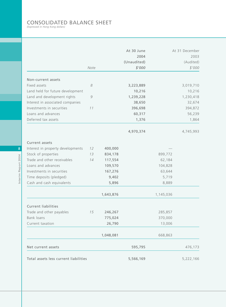## CONSOLIDATED BALANCE SHEET *(Expressed in Hong Kong dollars)*

|                                       |               |           | At 30 June<br>2004    |           | At 31 December<br>2003 |
|---------------------------------------|---------------|-----------|-----------------------|-----------|------------------------|
|                                       | Note          |           | (Unaudited)<br>\$'000 |           | (Audited)<br>\$'000    |
|                                       |               |           |                       |           |                        |
| Non-current assets                    |               |           |                       |           |                        |
| Fixed assets                          | 8             |           | 3,223,889             |           | 3,019,710              |
| Land held for future development      |               |           | 10,216                |           | 10,216                 |
| Land and development rights           | $\mathcal{G}$ |           | 1,239,228             |           | 1,230,418              |
| Interest in associated companies      |               |           | 38,650                |           | 32,674                 |
| Investments in securities             | 11            |           | 396,698               |           | 394,872                |
| Loans and advances                    |               |           | 60,317                |           | 56,239                 |
| Deferred tax assets                   |               |           | 1,376                 |           | 1,864                  |
|                                       |               |           | 4,970,374             |           | 4,745,993              |
| <b>Current assets</b>                 |               |           |                       |           |                        |
| Interest in property developments     | 12            | 400,000   |                       |           |                        |
| Stock of properties                   | 13            | 834,178   |                       | 899,772   |                        |
| Trade and other receivables           | 14            | 117,554   |                       | 62,184    |                        |
| Loans and advances                    |               | 109,570   |                       | 104,828   |                        |
| Investments in securities             |               | 167,276   |                       | 63,644    |                        |
| Time deposits (pledged)               |               | 9,402     |                       | 5,719     |                        |
| Cash and cash equivalents             |               | 5,896     |                       | 8,889     |                        |
|                                       |               | 1,643,876 |                       | 1,145,036 |                        |
| <b>Current liabilities</b>            |               |           |                       |           |                        |
| Trade and other payables              | 15            | 246,267   |                       | 285,857   |                        |
| <b>Bank loans</b>                     |               | 775,024   |                       | 370,000   |                        |
| Current taxation                      |               | 26,790    |                       | 13,006    |                        |
|                                       |               | 1,048,081 |                       | 668,863   |                        |
| Net current assets                    |               |           | 595,795               |           | 476,173                |
| Total assets less current liabilities |               |           | 5,566,169             |           | 5,222,166              |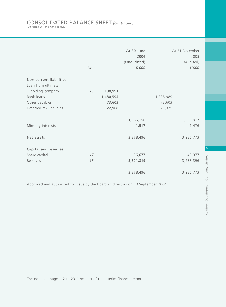### CONSOLIDATED BALANCE SHEET *(continued) (Expressed in Hong Kong dollars)*

|                          |      |           | At 30 June  |           | At 31 December |
|--------------------------|------|-----------|-------------|-----------|----------------|
|                          |      |           | 2004        |           | 2003           |
|                          |      |           | (Unaudited) |           | (Audited)      |
|                          | Note |           | \$'000      |           | \$'000         |
| Non-current liabilities  |      |           |             |           |                |
| Loan from ultimate       |      |           |             |           |                |
| holding company          | 16   | 108,991   |             |           |                |
| <b>Bank loans</b>        |      | 1,480,594 |             | 1,838,989 |                |
| Other payables           |      | 73,603    |             | 73,603    |                |
| Deferred tax liabilities |      | 22,968    |             | 21,325    |                |
|                          |      |           | 1,686,156   |           | 1,933,917      |
| Minority interests       |      |           | 1,517       |           | 1,476          |
| Net assets               |      |           | 3,878,496   |           | 3,286,773      |
| Capital and reserves     |      |           |             |           |                |
| Share capital            | 17   |           | 56,677      |           | 48,377         |
| Reserves                 | 18   |           | 3,821,819   |           | 3,238,396      |
|                          |      |           | 3,878,496   |           | 3,286,773      |

Approved and authorized for issue by the board of directors on 10 September 2004.

**9**Kowloon Development Company Limited Kowloon Development Company Limited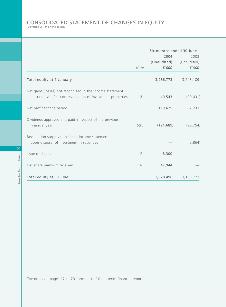## CONSOLIDATED STATEMENT OF CHANGES IN EQUITY *(Expressed in Hong Kong dollars)*

|                                                                                                                          |      | Six months ended 30 June      |                               |
|--------------------------------------------------------------------------------------------------------------------------|------|-------------------------------|-------------------------------|
|                                                                                                                          | Note | 2004<br>(Unaudited)<br>\$'000 | 2003<br>(Unaudited)<br>\$'000 |
| Total equity at 1 January                                                                                                |      | 3,286,773                     | 3,243,189                     |
| Net gains/(losses) not recognized in the income statement<br>- surplus/(deficit) on revaluation of investment properties | 18   | 40,543                        | (39, 031)                     |
| Net profit for the period                                                                                                |      | 119,625                       | 82,233                        |
| Dividends approved and paid in respect of the previous<br>financial year                                                 | 5(b) | (124, 689)                    | (96, 754)                     |
| Revaluation surplus transfer to income statement<br>upon disposal of investment in securities                            |      |                               | (5,864)                       |
| Issue of shares                                                                                                          | 17   | 8,300                         |                               |
| Net share premium received                                                                                               | 18   | 547,944                       |                               |
| Total equity at 30 June                                                                                                  |      | 3,878,496                     | 3,183,773                     |

Interim Report 2004 Interim Report 2004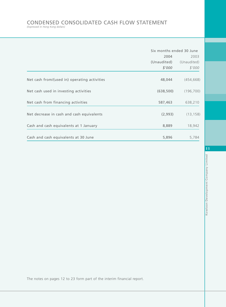## CONDENSED CONSOLIDATED CASH FLOW STATEMENT *(Expressed in Hong Kong dollars)*

|                                              | Six months ended 30 June |             |
|----------------------------------------------|--------------------------|-------------|
|                                              | 2004                     | 2003        |
|                                              | (Unaudited)              | (Unaudited) |
|                                              | \$'000                   | \$'000      |
| Net cash from/(used in) operating activities | 48,044                   | (454, 668)  |
| Net cash used in investing activities        | (638, 500)               | (196, 700)  |
| Net cash from financing activities           | 587,463                  | 638,210     |
| Net decrease in cash and cash equivalents    | (2,993)                  | (13, 158)   |
| Cash and cash equivalents at 1 January       | 8,889                    | 18,942      |
| Cash and cash equivalents at 30 June         | 5,896                    | 5,784       |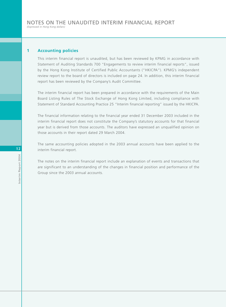#### **1 Accounting policies**

This interim financial report is unaudited, but has been reviewed by KPMG in accordance with Statement of Auditing Standards 700 "Engagements to review interim financial reports", issued by the Hong Kong Institute of Certified Public Accountants ("HKICPA"). KPMG's independent review report to the board of directors is included on page 24. In addition, this interim financial report has been reviewed by the Company's Audit Committee.

The interim financial report has been prepared in accordance with the requirements of the Main Board Listing Rules of The Stock Exchange of Hong Kong Limited, including compliance with Statement of Standard Accounting Practice 25 "Interim financial reporting" issued by the HKICPA.

The financial information relating to the financial year ended 31 December 2003 included in the interim financial report does not constitute the Company's statutory accounts for that financial year but is derived from those accounts. The auditors have expressed an unqualified opinion on those accounts in their report dated 29 March 2004.

The same accounting policies adopted in the 2003 annual accounts have been applied to the interim financial report.

The notes on the interim financial report include an explanation of events and transactions that are significant to an understanding of the changes in financial position and performance of the Group since the 2003 annual accounts.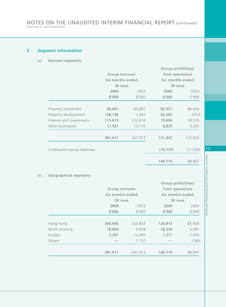#### **2 Segment information**

#### (a) Business segments

|                            |                  |         | Group profit/(loss) |           |  |
|----------------------------|------------------|---------|---------------------|-----------|--|
|                            | Group turnover   |         | from operations     |           |  |
|                            | Six months ended |         | Six months ended    |           |  |
|                            | 30 June          |         | 30 June             |           |  |
|                            | 2004             | 2003    | 2004                | 2003      |  |
|                            | \$'000           | \$'000  | \$'000              | \$'000    |  |
|                            |                  |         |                     |           |  |
| Property investment        | 90,461           | 93,887  | 82,951              | 88,038    |  |
| Property development       | 158,136          | 1,697   | 42,265              | (433)     |  |
| Finance and investments    | 115,819          | 132,614 | 19,406              | 18,579    |  |
| Other businesses           | 17,501           | 13,715  | 6,825               | 4,241     |  |
|                            | 381,917          | 241,913 | 151,447             | 110,425   |  |
| Unallocated group expenses |                  |         | (10, 737)           | (11, 528) |  |
|                            |                  |         | 140,710             | 98,897    |  |

#### (b) Geographical segments

|               |                  |         | Group profit/(loss) |                  |  |
|---------------|------------------|---------|---------------------|------------------|--|
|               | Group turnover   |         | from operations     |                  |  |
|               | Six months ended |         |                     | Six months ended |  |
|               | 30 June          |         | 30 June             |                  |  |
|               | 2004             | 2003    | 2004                | 2003             |  |
|               | \$'000           | \$'000  | \$'000              | \$'000           |  |
|               |                  |         |                     |                  |  |
| Hong Kong     | 360,956          | 222,843 | 120,813             | 85,826           |  |
| North America | 18,664           | 5,418   | 18,326              | 5,281            |  |
| Europe        | 2,297            | 12,495  | 1,571               | 7,976            |  |
| Others        |                  | 1,157   |                     | (186)            |  |
|               | 381,917          | 241,913 | 140,710             | 98,897           |  |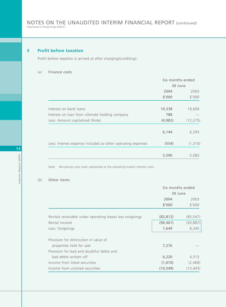#### **3 Profit before taxation**

Profit before taxation is arrived at after charging/(crediting):

#### (a) Finance costs

|                                                             | Six months ended |           |
|-------------------------------------------------------------|------------------|-----------|
|                                                             | 30 June          |           |
|                                                             | 2004             | 2003      |
|                                                             | \$'000           | \$'000    |
|                                                             |                  |           |
| Interest on bank loans                                      | 10,338           | 18,668    |
| Interest on loan from ultimate holding company              | 788              |           |
| Less: Amount capitalized (Note)                             | (4,982)          | (12, 275) |
|                                                             | 6,144            | 6,393     |
| Less: Interest expense included as other operating expenses | (554)            | (1,310)   |
|                                                             | 5,590            | 5,083     |

*Note:* Borrowing costs were capitalized at the prevailing market interest rates.

#### (b) Other items

|                                                          | Six months ended |           |
|----------------------------------------------------------|------------------|-----------|
|                                                          | 30 June          |           |
|                                                          | 2004             | 2003      |
|                                                          | \$'000           | \$'000    |
| Rentals receivable under operating leases less outgoings | (82, 812)        | (85, 547) |
| Rental income                                            | (90, 461)        | (93, 887) |
| Less: Outgoings                                          | 7,649            | 8,340     |
| Provision for diminution in value of                     |                  |           |
| properties held for sale                                 | 7,276            |           |
| Provision for bad and doubtful debts and                 |                  |           |
| bad debts written off                                    | 6,220            | 4,313     |
| Income from listed securities                            | (1,670)          | (2,468)   |
| Income from unlisted securities                          | (19, 549)        | (13, 443) |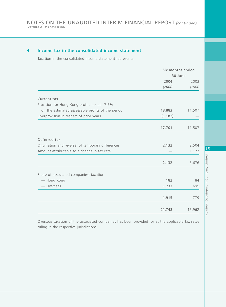#### **4 Income tax in the consolidated income statement**

Taxation in the consolidated income statement represents:

|                                                   | Six months ended |        |
|---------------------------------------------------|------------------|--------|
|                                                   | 30 June          |        |
|                                                   | 2004             | 2003   |
|                                                   | \$'000           | \$'000 |
| Current tax                                       |                  |        |
| Provision for Hong Kong profits tax at 17.5%      |                  |        |
| on the estimated assessable profits of the period | 18,883           | 11,507 |
| Overprovision in respect of prior years           | (1, 182)         |        |
|                                                   | 17,701           | 11,507 |
| Deferred tax                                      |                  |        |
| Origination and reversal of temporary differences | 2,132            | 2,504  |
| Amount attributable to a change in tax rate       |                  | 1,172  |
|                                                   | 2,132            | 3,676  |
| Share of associated companies' taxation           |                  |        |
| - Hong Kong                                       | 182              | 84     |
| — Overseas                                        | 1,733            | 695    |
|                                                   | 1,915            | 779    |
|                                                   | 21,748           | 15,962 |

Overseas taxation of the associated companies has been provided for at the applicable tax rates ruling in the respective jurisdictions.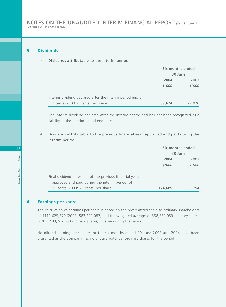#### **5 Dividends**

(a) Dividends attributable to the interim period

|                                                           | Six months ended |        |
|-----------------------------------------------------------|------------------|--------|
|                                                           | 30 June          |        |
|                                                           | 2004             | 2003   |
|                                                           | \$'000           | \$'000 |
| Interim dividend declared after the interim period end of |                  |        |
| 7 cents (2003: 6 cents) per share                         | 39,674           | 29.026 |

The interim dividend declared after the interim period end has not been recognized as a liability at the interim period end date.

(b) Dividends attributable to the previous financial year, approved and paid during the interim period

|                                                           | Six months ended |        |
|-----------------------------------------------------------|------------------|--------|
|                                                           | 30 June          |        |
|                                                           | 2004             | 2003   |
|                                                           | \$'000           | \$'000 |
|                                                           |                  |        |
| Final dividend in respect of the previous financial year, |                  |        |
| approved and paid during the interim period, of           |                  |        |
| 22 cents (2003: 20 cents) per share                       | 124,689          | 96,754 |

#### **6 Earnings per share**

The calculation of earnings per share is based on the profit attributable to ordinary shareholders of \$119,625,370 (2003: \$82,233,087) and the weighted average of 558,559,059 ordinary shares (2003: 483,767,850 ordinary shares) in issue during the period.

No diluted earnings per share for the six months ended 30 June 2003 and 2004 have been presented as the Company has no dilutive potential ordinary shares for the period.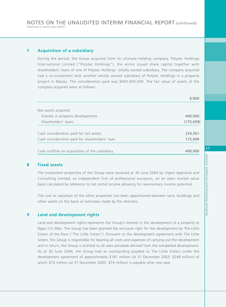#### **7 Acquisition of a subsidiary**

During the period, the Group acquired from its ultimate holding company, Polytec Holdings International Limited ("Polytec Holdings"), the entire issued share capital together with shareholders' loans of one of Polytec Holdings' wholly owned subsidiary. The company acquired had a co-investment with another wholly owned subsidiary of Polytec Holdings in a property project in Macau. The consideration paid was \$400,000,000. The fair value of assets of the company acquired were as follows:

|                                                | \$'000     |
|------------------------------------------------|------------|
| Net assets acquired                            |            |
| Interest in property developments              | 400,000    |
| Shareholders' loans                            | (175, 699) |
|                                                |            |
| Cash consideration paid for net assets         | 224,301    |
| Cash consideration paid for shareholders' loan | 175,699    |
| Cash outflow on acquisition of the subsidiary  | 400,000    |

#### **8 Fixed assets**

The investment properties of the Group were revalued at 30 June 2004 by Vigers Appraisal and Consulting Limited, an independent firm of professional surveyors, on an open market value basis calculated by reference to net rental income allowing for reversionary income potential.

The cost or valuation of the other properties has been apportioned between land, buildings and other assets on the basis of estimates made by the directors.

#### **9 Land and development rights**

Land and development rights represents the Group's interest in the development of a property at Ngau Chi Wan. The Group has been granted the exclusive right for the development by The Little Sisters of the Poor ("The Little Sisters"). Pursuant to the development agreement with The Little Sisters, the Group is responsible for bearing all costs and expenses of carrying out the development and in return, the Group is entitled to all sales proceeds derived from the completed development. As at 30 June 2004, the Group had an outstanding payable to The Little Sisters under the development agreement of approximately \$181 million (at 31 December 2003: \$248 million) of which \$74 million (at 31 December 2003: \$74 million) is payable after one year.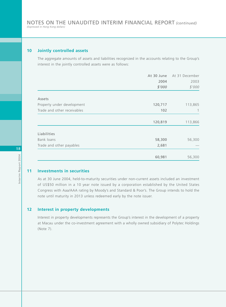#### **10 Jointly controlled assets**

The aggregate amounts of assets and liabilities recognized in the accounts relating to the Group's interest in the jointly controlled assets were as follows:

|                             | At 30 June | At 31 December |  |
|-----------------------------|------------|----------------|--|
|                             | 2004       | 2003           |  |
|                             | \$'000     | \$'000         |  |
| Assets                      |            |                |  |
| Property under development  | 120,717    | 113,865        |  |
| Trade and other receivables | 102        |                |  |
|                             | 120,819    | 113,866        |  |
| Liabilities                 |            |                |  |
| Bank loans                  | 58,300     | 56,300         |  |
| Trade and other payables    | 2,681      |                |  |
|                             | 60,981     | 56,300         |  |

#### **11 Investments in securities**

As at 30 June 2004, held-to-maturity securities under non-current assets included an investment of US\$50 million in a 10 year note issued by a corporation established by the United States Congress with Aaa/AAA rating by Moody's and Standard & Poor's. The Group intends to hold the note until maturity in 2013 unless redeemed early by the note issuer.

#### **12 Interest in property developments**

Interest in property developments represents the Group's interest in the development of a property at Macau under the co-investment agreement with a wholly owned subsidiary of Polytec Holdings (Note 7).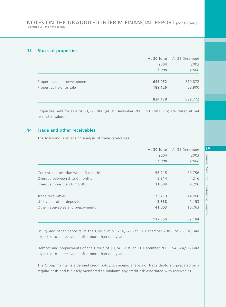#### **13 Stock of properties**

|                              |         | At 30 June At 31 December |  |
|------------------------------|---------|---------------------------|--|
|                              | 2004    | 2003                      |  |
|                              | \$'000  | \$'000                    |  |
|                              |         |                           |  |
| Properties under development | 645,052 | 810,872                   |  |
| Properties held for sale     | 189,126 | 88,900                    |  |
|                              |         |                           |  |
|                              | 834,178 | 899,772                   |  |

Properties held for sale of \$3,325,000 (at 31 December 2003: \$10,601,016) are stated at net realizable value.

#### **14 Trade and other receivables**

The following is an ageing analysis of trade receivables:

|                                     |         | At 30 June At 31 December |  |
|-------------------------------------|---------|---------------------------|--|
|                                     | 2004    | 2003                      |  |
|                                     | \$'000  | \$'000                    |  |
| Current and overdue within 3 months | 56,215  | 30,756                    |  |
| Overdue between 3 to 6 months       | 5,314   | 4,216                     |  |
| Overdue more than 6 months          | 11,684  | 9,296                     |  |
| Trade receivables                   | 73,213  | 44,268                    |  |
| Utility and other deposits          | 3,338   | 1,153                     |  |
| Other receivables and prepayments   | 41,003  | 16,763                    |  |
|                                     | 117,554 | 62,184                    |  |

Utility and other deposits of the Group of \$3,216,277 (at 31 December 2003: \$926,136) are expected to be recovered after more than one year.

Debtors and prepayments of the Group of \$3,745,918 (at 31 December 2003: \$4,824,972) are expected to be recovered after more than one year.

The Group maintains a defined credit policy. An ageing analysis of trade debtors is prepared on a regular basis and is closely monitored to minimize any credit risk associated with receivables.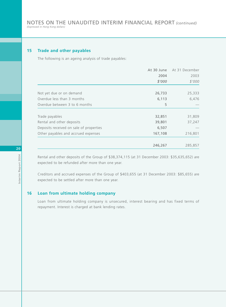#### **15 Trade and other payables**

The following is an ageing analysis of trade payables:

|                                         |         | At 30 June At 31 December |  |
|-----------------------------------------|---------|---------------------------|--|
|                                         | 2004    | 2003                      |  |
|                                         | \$'000  | \$'000                    |  |
|                                         |         |                           |  |
| Not yet due or on demand                | 26,733  | 25,333                    |  |
| Overdue less than 3 months              | 6,113   | 6,476                     |  |
| Overdue between 3 to 6 months           | 5       |                           |  |
| Trade payables                          | 32,851  | 31,809                    |  |
| Rental and other deposits               | 39,801  | 37,247                    |  |
| Deposits received on sale of properties | 6,507   |                           |  |
| Other payables and accrued expenses     | 167,108 | 216,801                   |  |
|                                         | 246,267 | 285,857                   |  |

Rental and other deposits of the Group of \$38,374,115 (at 31 December 2003: \$35,635,652) are expected to be refunded after more than one year.

Creditors and accrued expenses of the Group of \$403,655 (at 31 December 2003: \$85,655) are expected to be settled after more than one year.

#### **16 Loan from ultimate holding company**

Loan from ultimate holding company is unsecured, interest bearing and has fixed terms of repayment. Interest is charged at bank lending rates.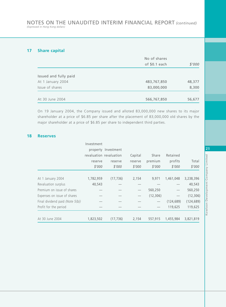#### **17 Share capital**

|                       | No of shares  | \$'000 |  |
|-----------------------|---------------|--------|--|
|                       | of \$0.1 each |        |  |
|                       |               |        |  |
| Issued and fully paid |               |        |  |
| At 1 January 2004     | 483,767,850   | 48,377 |  |
| Issue of shares       | 83,000,000    | 8,300  |  |
|                       |               |        |  |
| At 30 June 2004       | 566,767,850   | 56,677 |  |

On 19 January 2004, the Company issued and alloted 83,000,000 new shares to its major shareholder at a price of \$6.85 per share after the placement of 83,000,000 old shares by the major shareholder at a price of \$6.85 per share to independent third parties.

#### **18 Reserves**

|                                 | Investment              |                     |         |           |            |            |
|---------------------------------|-------------------------|---------------------|---------|-----------|------------|------------|
|                                 |                         | property Investment |         |           |            |            |
|                                 | revaluation revaluation |                     | Capital | Share     | Retained   |            |
|                                 | reserve                 | reserve             | reserve | premium   | profits    | Total      |
|                                 | \$'000                  | \$'000              | \$'000  | \$'000    | \$'000     | \$'000     |
|                                 |                         |                     |         |           |            |            |
| At 1 January 2004               | 1,782,959               | (17, 736)           | 2,154   | 9,971     | 1,461,048  | 3,238,396  |
| Revaluation surplus             | 40,543                  |                     |         |           |            | 40,543     |
| Premium on issue of shares      |                         |                     |         | 560,250   |            | 560,250    |
| Expenses on issue of shares     |                         |                     |         | (12, 306) |            | (12, 306)  |
| Final dividend paid (Note 5(b)) |                         |                     |         |           | (124, 689) | (124, 689) |
| Profit for the period           |                         |                     |         |           | 119,625    | 119,625    |
|                                 |                         |                     |         |           |            |            |
| At 30 June 2004                 | 1,823,502               | (17, 736)           | 2,154   | 557,915   | 1,455,984  | 3,821,819  |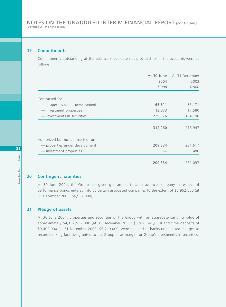#### **19 Commitments**

Commitments outstanding at the balance sheet date not provided for in the accounts were as follows:

|                                   | At 30 June | At 31 December |
|-----------------------------------|------------|----------------|
|                                   | 2004       | 2003           |
|                                   | \$'000     | \$'000         |
| Contracted for                    |            |                |
| - properties under development    | 68,811     | 35,171         |
| - investment properties           | 13,873     | 17,580         |
| - investments in securities       | 229,576    | 164,196        |
|                                   | 312,260    | 216,947        |
| Authorized but not contracted for |            |                |
| - properties under development    | 209,334    | 231,617        |
| - investment properties           |            | 480            |
|                                   |            |                |
|                                   | 209,334    | 232,097        |

#### **20 Contingent liabilities**

At 30 June 2004, the Group has given guarantees to an insurance company in respect of performance bonds entered into by certain associated companies to the extent of \$6,952,000 (at 31 December 2003: \$6,952,000).

#### **21 Pledge of assets**

At 30 June 2004, properties and securities of the Group with an aggregate carrying value of approximately \$4,132,532,000 (at 31 December 2003: \$3,936,841,000) and time deposits of \$9,402,000 (at 31 December 2003: \$5,719,000) were pledged to banks under fixed charges to secure banking facilities granted to the Group or as margin for Group's investments in securities.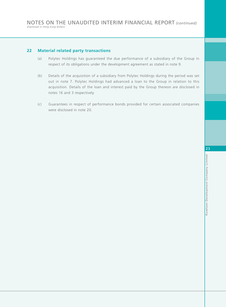#### **22 Material related party transactions**

- (a) Polytec Holdings has guaranteed the due performance of a subsidiary of the Group in respect of its obligations under the development agreement as stated in note 9.
- (b) Details of the acquisition of a subsidiary from Polytec Holdings during the period was set out in note 7. Polytec Holdings had advanced a loan to the Group in relation to this acquisition. Details of the loan and interest paid by the Group thereon are disclosed in notes 16 and 3 respectively.
- (c) Guarantees in respect of performance bonds provided for certain associated companies were disclosed in note 20.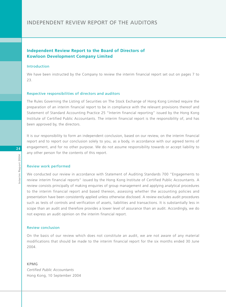#### INDEPENDENT REVIEW REPORT OF THE AUDITORS

#### **Independent Review Report to the Board of Directors of Kowloon Development Company Limited**

#### Introduction

We have been instructed by the Company to review the interim financial report set out on pages 7 to 23.

#### Respective responsibilities of directors and auditors

The Rules Governing the Listing of Securities on The Stock Exchange of Hong Kong Limited require the preparation of an interim financial report to be in compliance with the relevant provisions thereof and Statement of Standard Accounting Practice 25 "Interim financial reporting" issued by the Hong Kong Institute of Certified Public Accountants. The interim financial report is the responsibility of, and has been approved by, the directors.

It is our responsibility to form an independent conclusion, based on our review, on the interim financial report and to report our conclusion solely to you, as a body, in accordance with our agreed terms of engagement, and for no other purpose. We do not assume responsibility towards or accept liability to any other person for the contents of this report.

#### Review work performed

We conducted our review in accordance with Statement of Auditing Standards 700 "Engagements to review interim financial reports" issued by the Hong Kong Institute of Certified Public Accountants. A review consists principally of making enquiries of group management and applying analytical procedures to the interim financial report and based thereon, assessing whether the accounting policies and presentation have been consistently applied unless otherwise disclosed. A review excludes audit procedures such as tests of controls and verification of assets, liabilities and transactions. It is substantially less in scope than an audit and therefore provides a lower level of assurance than an audit. Accordingly, we do not express an audit opinion on the interim financial report.

#### Review conclusion

On the basis of our review which does not constitute an audit, we are not aware of any material modifications that should be made to the interim financial report for the six months ended 30 June 2004.

KPMG *Certified Public Accountants* Hong Kong, 10 September 2004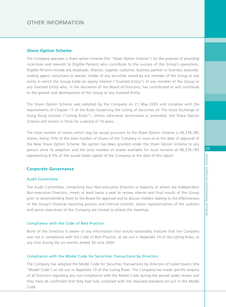#### **Share Option Scheme**

The Company operates a share option scheme (the "Share Option Scheme") for the purpose of providing incentives and rewards to Eligible Persons who contribute to the success of the Group's operations. Eligible Persons include any employee, director, supplier, customer, business partner or business associate, trading agent, consultant or adviser, holder of any securities issued by any member of the Group or any entity in which the Group holds an equity interest ("Invested Entity") of any member of the Group or any Invested Entity who, in the discretion of the Board of Directors, has contributed or will contribute to the growth and development of the Group or any Invested Entity.

The Share Option Scheme was adopted by the Company on 21 May 2003 and complies with the requirements of Chapter 17 of the Rules Governing the Listing of Securities on The Stock Exchange of Hong Kong Limited ("Listing Rules"). Unless otherwise terminated or amended, the Share Option Scheme will remain in force for a period of 10 years.

The total number of shares which may be issued pursuant to the Share Option Scheme is 48,376,785 shares, being 10% of the total number of shares of the Company in issue as at the date of approval of the New Share Option Scheme. No option has been granted under the Share Option Scheme to any person since its adoption and the total number of shares available for issue remains at 48,376,785 representing 8.5% of the issued share capital of the Company at the date of this report.

#### **Corporate Governance**

#### Audit Committee

The Audit Committee, comprising four Non-executive Directors a majority of whom are Independent Non-executive Directors, meets at least twice a year to review interim and final results of the Group prior to recommending them to the Board for approval and to discuss matters relating to the effectiveness of the Group's financial reporting process and internal controls. Senior representatives of the auditors and senior executives of the Company are invited to attend the meetings.

#### Compliance with the Code of Best Practice

None of the Directors is aware of any information that would reasonably indicate that the Company was not in compliance with the Code of Best Practice, as set out in Appendix 14 of the Listing Rules, at any time during the six months ended 30 June 2004.

#### Compliance with the Model Code for Securities Transactions by Directors

The Company has adopted the Model Code for Securities Transactions by Directors of Listed Issuers (the "Model Code") as set out in Appendix 10 of the Listing Rules. The Company has made specific enquiry of all Directors regarding any non-compliance with the Model Code during the period under review and they have all confirmed that they had fully complied with the required standard set out in the Model Code.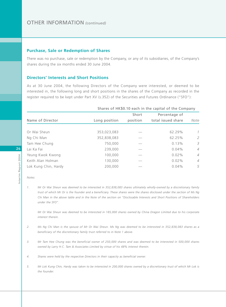#### **Purchase, Sale or Redemption of Shares**

There was no purchase, sale or redemption by the Company, or any of its subsidiaries, of the Company's shares during the six months ended 30 June 2004.

#### **Directors' Interests and Short Positions**

As at 30 June 2004, the following Directors of the Company were interested, or deemed to be interested in, the following long and short positions in the shares of the Company as recorded in the register required to be kept under Part XV (s.352) of the Securities and Futures Ordinance ("SFO"):

|                      | Shares of HK\$0.10 each in the capital of the Company |          |                    |                |
|----------------------|-------------------------------------------------------|----------|--------------------|----------------|
|                      |                                                       | Short    | Percentage of      |                |
| Name of Director     | Long position                                         | position | total issued share | Note           |
|                      |                                                       |          |                    |                |
| Or Wai Sheun         | 353,023,083                                           |          | 62.29%             | $\mathcal{I}$  |
| Ng Chi Man           | 352,838,083                                           |          | 62.25%             | 2              |
| Tam Hee Chung        | 750,000                                               |          | 0.13%              | 3              |
| Lai Ka Fai           | 239,000                                               |          | $0.04\%$           | $\overline{4}$ |
| Yeung Kwok Kwong     | 100,000                                               |          | $0.02\%$           | $\overline{4}$ |
| Keith Alan Holman    | 130,000                                               |          | 0.02%              | $\overline{4}$ |
| Lok Kung Chin, Hardy | 200,000                                               |          | 0.04%              | 5              |

## **26**

*Notes:*

*1. Mr Or Wai Sheun was deemed to be interested in 352,838,083 shares ultimately wholly-owned by a discretionary family trust of which Mr Or is the founder and a beneficiary. These shares were the shares disclosed under the section of Ms Ng Chi Man in the above table and in the Note of the section on "Disclosable Interests and Short Positions of Shareholders under the SFO".*

*Mr Or Wai Sheun was deemed to be interested in 185,000 shares owned by China Dragon Limited due to his corporate interest therein.*

- *2. Ms Ng Chi Man is the spouse of Mr Or Wai Sheun. Ms Ng was deemed to be interested in 352,838,083 shares as a beneficiary of the discretionary family trust referred to in Note 1 above.*
- *3. Mr Tam Hee Chung was the beneficial owner of 250,000 shares and was deemed to be interested in 500,000 shares owned by Larry H.C. Tam & Associates Limited by virtue of his 48% interest therein.*
- *4. Shares were held by the respective Directors in their capacity as beneficial owner.*
- *5. Mr Lok Kung Chin, Hardy was taken to be interested in 200,000 shares owned by a discretionary trust of which Mr Lok is the founder.*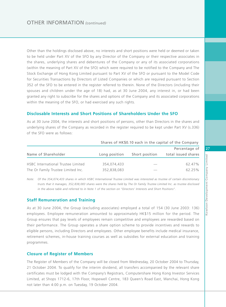Other than the holdings disclosed above, no interests and short positions were held or deemed or taken to be held under Part XV of the SFO by any Director of the Company or their respective associates in the shares, underlying shares and debentures of the Company or any of its associated corporations (within the meaning of Part XV of the SFO) which were required to be notified to the Company and The Stock Exchange of Hong Kong Limited pursuant to Part XV of the SFO or pursuant to the Model Code for Securities Transactions by Directors of Listed Companies or which are required pursuant to Section 352 of the SFO to be entered in the register referred to therein. None of the Directors (including their spouses and children under the age of 18) had, as at 30 June 2004, any interest in, or had been granted any right to subscribe for the shares and options of the Company and its associated corporations within the meaning of the SFO, or had exercised any such rights.

#### **Disclosable Interests and Short Positions of Shareholders Under the SFO**

As at 30 June 2004, the interests and short positions of persons, other than Directors in the shares and underlying shares of the Company as recorded in the register required to be kept under Part XV (s.336) of the SFO were as follows:

|                                    | Shares of HK\$0.10 each in the capital of the Company |                |                     |
|------------------------------------|-------------------------------------------------------|----------------|---------------------|
|                                    |                                                       |                | Percentage of       |
| Name of Shareholder                | Long position                                         | Short position | total issued shares |
| HSBC International Trustee Limited | 354,074,433                                           |                | 62.47%              |
| The Or Family Trustee Limited Inc. | 352,838,083                                           |                | 62.25%              |

*Note: Of the 354,074,433 shares in which HSBC International Trustee Limited was interested as trustee of certain discretionary trusts that it manages, 352,838,083 shares were the shares held by The Or Family Trustee Limited Inc. as trustee disclosed in the above table and referred to in Note 1 of the section on "Directors' Interests and Short Positions".*

#### **Staff Remuneration and Training**

As at 30 June 2004, the Group (excluding associates) employed a total of 154 (30 June 2003: 136) employees. Employee remuneration amounted to approximately HK\$15 million for the period. The Group ensures that pay levels of employees remain competitive and employees are rewarded based on their performance. The Group operates a share option scheme to provide incentives and rewards to eligible persons, including Directors and employees. Other employee benefits include medical insurance, retirement schemes, in-house training courses as well as subsidies for external education and training programmes.

#### **Closure of Register of Members**

The Register of Members of the Company will be closed from Wednesday, 20 October 2004 to Thursday, 21 October 2004. To qualify for the interim dividend, all transfers accompanied by the relevant share certificates must be lodged with the Company's Registrars, Computershare Hong Kong Investor Services Limited, at Shops 1712-6, 17th Floor, Hopewell Centre, 183 Queen's Road East, Wanchai, Hong Kong not later than 4:00 p.m. on Tuesday, 19 October 2004.

**27**